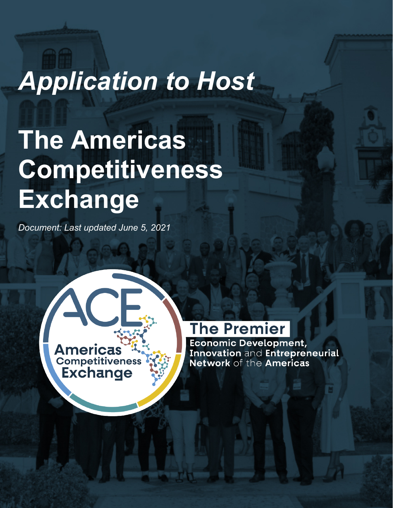# *Application to Host*

# **The Americas Competitiveness Exchange**

*Document: Last updated June 5, 2021*



# **The Premier**

Economic Development, Innovation and Entrepreneurial Network of the Americas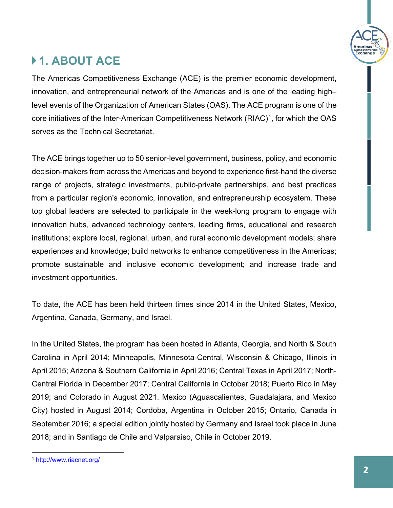

# **1. ABOUT ACE**

The Americas Competitiveness Exchange (ACE) is the premier economic development, innovation, and entrepreneurial network of the Americas and is one of the leading high– level events of the Organization of American States (OAS). The ACE program is one of the core initiatives of the Inter-American Competitiveness Network  $(RIAC)^1$ , for which the OAS serves as the Technical Secretariat.

The ACE brings together up to 50 senior-level government, business, policy, and economic decision-makers from across the Americas and beyond to experience first-hand the diverse range of projects, strategic investments, public-private partnerships, and best practices from a particular region's economic, innovation, and entrepreneurship ecosystem. These top global leaders are selected to participate in the week-long program to engage with innovation hubs, advanced technology centers, leading firms, educational and research institutions; explore local, regional, urban, and rural economic development models; share experiences and knowledge; build networks to enhance competitiveness in the Americas; promote sustainable and inclusive economic development; and increase trade and investment opportunities.

To date, the ACE has been held thirteen times since 2014 in the United States, Mexico, Argentina, Canada, Germany, and Israel.

In the United States, the program has been hosted in Atlanta, Georgia, and North & South Carolina in April 2014; Minneapolis, Minnesota-Central, Wisconsin & Chicago, Illinois in April 2015; Arizona & Southern California in April 2016; Central Texas in April 2017; North-Central Florida in December 2017; Central California in October 2018; Puerto Rico in May 2019; and Colorado in August 2021. Mexico (Aguascalientes, Guadalajara, and Mexico City) hosted in August 2014; Cordoba, Argentina in October 2015; Ontario, Canada in September 2016; a special edition jointly hosted by Germany and Israel took place in June 2018; and in Santiago de Chile and Valparaiso, Chile in October 2019.

<span id="page-1-0"></span><sup>1</sup> <http://www.riacnet.org/>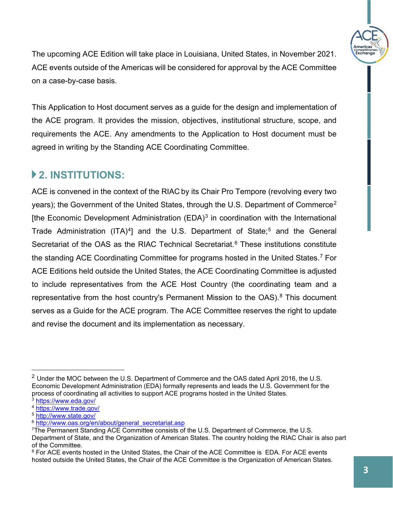

The upcoming ACE Edition will take place in Louisiana, United States, in November 2021. ACE events outside of the Americas will be considered for approval by the ACE Committee on a case-by-case basis.

This Application to Host document serves as a guide for the design and implementation of the ACE program. It provides the mission, objectives, institutional structure, scope, and requirements the ACE. Any amendments to the Application to Host document must be agreed in writing by the Standing ACE Coordinating Committee.

### **2. INSTITUTIONS:**

ACE is convened in the context of the RIAC by its Chair Pro Tempore (revolving every two years); the Government of the United States, through the U.S. Department of Commerce<sup>[2](#page-2-0)</sup> [the Economic Development Administration  $(EDA)^3$  $(EDA)^3$  in coordination with the International Trade Administration (ITA)<sup>4</sup>] and the U.S. Department of State;<sup>[5](#page-2-3)</sup> and the General Secretariat of the OAS as the RIAC Technical Secretariat. [6](#page-2-4) These institutions constitute the standing ACE Coordinating Committee for programs hosted in the United States. [7](#page-2-5) For ACE Editions held outside the United States, the ACE Coordinating Committee is adjusted to include representatives from the ACE Host Country (the coordinating team and a representative from the host country's Permanent Mission to the  $OAS$ ).<sup>[8](#page-2-6)</sup> This document serves as a Guide for the ACE program. The ACE Committee reserves the right to update and revise the document and its implementation as necessary.

<span id="page-2-0"></span> $2$  Under the MOC between the U.S. Department of Commerce and the OAS dated April 2016, the U.S. Economic Development Administration (EDA) formally represents and leads the U.S. Government for the process of coordinating all activities to support ACE programs hosted in the United States.

<span id="page-2-3"></span>

<span id="page-2-4"></span>

<span id="page-2-2"></span><span id="page-2-1"></span> $\frac{3 \text{ https://www.edu.gov/}}{4 \text{ https://www.trade.gov/}}$ <br>  $\frac{5 \text{ https://www.trade.gov/}}{5 \text{ http://www.state.gov/}}$ <br>  $\frac{6 \text{ http://www.state.gov/}}{6 \text{ http://www.oas.org/en/about/general_secretariat.ssp}}$ <br>  $\frac{7 \text{The Permanent Standard ACE Committee consists of the U.S. Department of Commerce, the U.S.}$ 

<span id="page-2-5"></span>Department of State, and the Organization of American States. The country holding the RIAC Chair is also part of the Committee.

<span id="page-2-6"></span><sup>&</sup>lt;sup>8</sup> For ACE events hosted in the United States, the Chair of the ACE Committee is EDA. For ACE events hosted outside the United States, the Chair of the ACE Committee is the Organization of American States.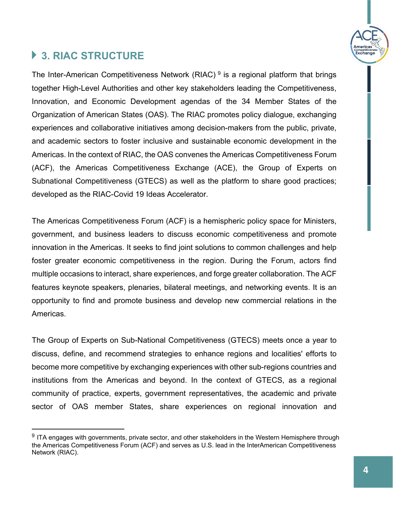

# **3. RIAC STRUCTURE**

The Inter-American Competitiveness Network (RIAC)  $9$  is a regional platform that brings together High-Level Authorities and other key stakeholders leading the Competitiveness, Innovation, and Economic Development agendas of the 34 Member States of the Organization of American States (OAS). The RIAC promotes policy dialogue, exchanging experiences and collaborative initiatives among decision-makers from the public, private, and academic sectors to foster inclusive and sustainable economic development in the Americas. In the context of RIAC, the OAS convenes the Americas Competitiveness Forum (ACF), the Americas Competitiveness Exchange (ACE), the Group of Experts on Subnational Competitiveness (GTECS) as well as the platform to share good practices; developed as the RIAC-Covid 19 Ideas Accelerator.

The Americas Competitiveness Forum (ACF) is a hemispheric policy space for Ministers, government, and business leaders to discuss economic competitiveness and promote innovation in the Americas. It seeks to find joint solutions to common challenges and help foster greater economic competitiveness in the region. During the Forum, actors find multiple occasions to interact, share experiences, and forge greater collaboration. The ACF features keynote speakers, plenaries, bilateral meetings, and networking events. It is an opportunity to find and promote business and develop new commercial relations in the Americas.

The Group of Experts on Sub-National Competitiveness (GTECS) meets once a year to discuss, define, and recommend strategies to enhance regions and localities' efforts to become more competitive by exchanging experiences with other sub-regions countries and institutions from the Americas and beyond. In the context of GTECS, as a regional community of practice, experts, government representatives, the academic and private sector of OAS member States, share experiences on regional innovation and

<span id="page-3-0"></span> $9$  ITA engages with governments, private sector, and other stakeholders in the Western Hemisphere through the Americas Competitiveness Forum (ACF) and serves as U.S. lead in the InterAmerican Competitiveness Network (RIAC).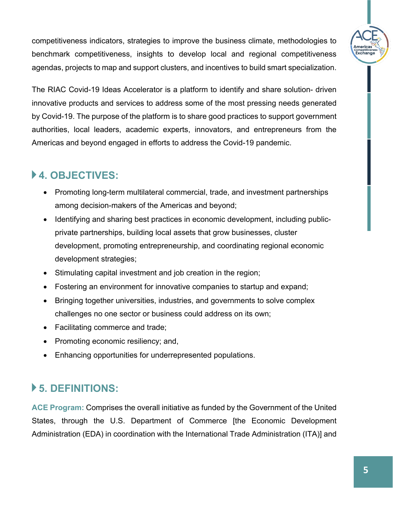competitiveness indicators, strategies to improve the business climate, methodologies to benchmark competitiveness, insights to develop local and regional competitiveness agendas, projects to map and support clusters, and incentives to build smart specialization.

The RIAC Covid-19 Ideas Accelerator is a platform to identify and share solution- driven innovative products and services to address some of the most pressing needs generated by Covid-19. The purpose of the platform is to share good practices to support government authorities, local leaders, academic experts, innovators, and entrepreneurs from the Americas and beyond engaged in efforts to address the Covid-19 pandemic.

## **4. OBJECTIVES:**

- Promoting long-term multilateral commercial, trade, and investment partnerships among decision-makers of the Americas and beyond;
- Identifying and sharing best practices in economic development, including publicprivate partnerships, building local assets that grow businesses, cluster development, promoting entrepreneurship, and coordinating regional economic development strategies;
- Stimulating capital investment and job creation in the region;
- Fostering an environment for innovative companies to startup and expand;
- Bringing together universities, industries, and governments to solve complex challenges no one sector or business could address on its own;
- Facilitating commerce and trade;
- Promoting economic resiliency; and,
- Enhancing opportunities for underrepresented populations.

## **5. DEFINITIONS:**

**ACE Program:** Comprises the overall initiative as funded by the Government of the United States, through the U.S. Department of Commerce [the Economic Development Administration (EDA) in coordination with the International Trade Administration (ITA)] and ompennver<br>Exchang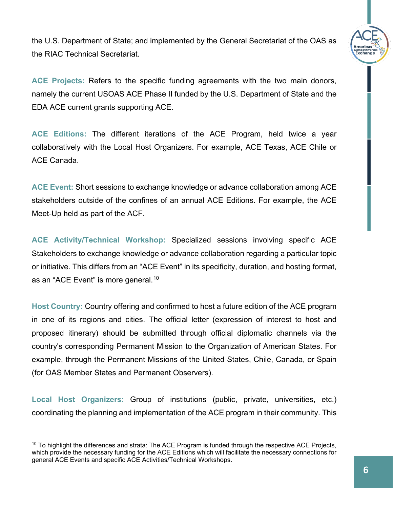

the U.S. Department of State; and implemented by the General Secretariat of the OAS as the RIAC Technical Secretariat.

**ACE Projects:** Refers to the specific funding agreements with the two main donors, namely the current USOAS ACE Phase II funded by the U.S. Department of State and the EDA ACE current grants supporting ACE.

**ACE Editions:** The different iterations of the ACE Program, held twice a year collaboratively with the Local Host Organizers. For example, ACE Texas, ACE Chile or ACE Canada.

**ACE Event:** Short sessions to exchange knowledge or advance collaboration among ACE stakeholders outside of the confines of an annual ACE Editions. For example, the ACE Meet-Up held as part of the ACF.

**ACE Activity/Technical Workshop:** Specialized sessions involving specific ACE Stakeholders to exchange knowledge or advance collaboration regarding a particular topic or initiative. This differs from an "ACE Event" in its specificity, duration, and hosting format, as an "ACE Event" is more general.<sup>[10](#page-5-0)</sup>

**Host Country:** Country offering and confirmed to host a future edition of the ACE program in one of its regions and cities. The official letter (expression of interest to host and proposed itinerary) should be submitted through official diplomatic channels via the country's corresponding Permanent Mission to the Organization of American States. For example, through the Permanent Missions of the United States, Chile, Canada, or Spain (for OAS Member States and Permanent Observers).

**Local Host Organizers:** Group of institutions (public, private, universities, etc.) coordinating the planning and implementation of the ACE program in their community. This

<span id="page-5-0"></span> $10$  To highlight the differences and strata: The ACE Program is funded through the respective ACE Projects, which provide the necessary funding for the ACE Editions which will facilitate the necessary connections for general ACE Events and specific ACE Activities/Technical Workshops.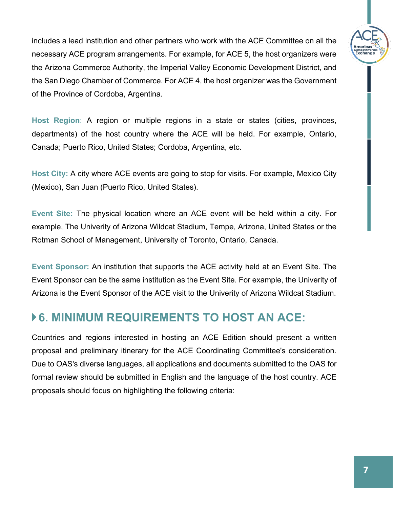includes a lead institution and other partners who work with the ACE Committee on all the necessary ACE program arrangements. For example, for ACE 5, the host organizers were the Arizona Commerce Authority, the Imperial Valley Economic Development District, and the San Diego Chamber of Commerce. For ACE 4, the host organizer was the Government of the Province of Cordoba, Argentina.

**Host Region**: A region or multiple regions in a state or states (cities, provinces, departments) of the host country where the ACE will be held. For example, Ontario, Canada; Puerto Rico, United States; Cordoba, Argentina, etc.

**Host City:** A city where ACE events are going to stop for visits. For example, Mexico City (Mexico), San Juan (Puerto Rico, United States).

**Event Site:** The physical location where an ACE event will be held within a city. For example, The Univerity of Arizona Wildcat Stadium, Tempe, Arizona, United States or the Rotman School of Management, University of Toronto, Ontario, Canada.

**Event Sponsor:** An institution that supports the ACE activity held at an Event Site. The Event Sponsor can be the same institution as the Event Site. For example, the Univerity of Arizona is the Event Sponsor of the ACE visit to the Univerity of Arizona Wildcat Stadium.

## **▶ 6. MINIMUM REQUIREMENTS TO HOST AN ACE:**

Countries and regions interested in hosting an ACE Edition should present a written proposal and preliminary itinerary for the ACE Coordinating Committee's consideration. Due to OAS's diverse languages, all applications and documents submitted to the OAS for formal review should be submitted in English and the language of the host country. ACE proposals should focus on highlighting the following criteria:

ompennver<br>Exchang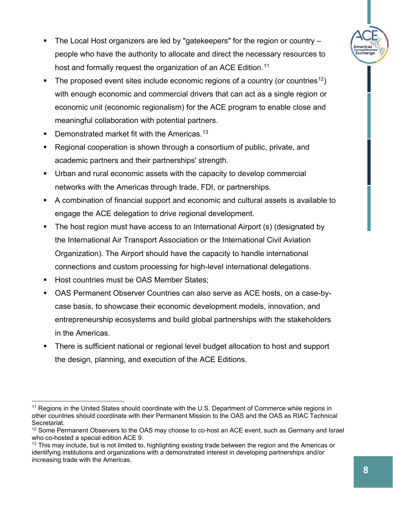- The Local Host organizers are led by "gatekeepers" for the region or country xchang people who have the authority to allocate and direct the necessary resources to host and formally request the organization of an ACE Edition.<sup>[11](#page-7-0)</sup>
- The proposed event sites include economic regions of a country (or countries<sup>12</sup>) with enough economic and commercial drivers that can act as a single region or economic unit (economic regionalism) for the ACE program to enable close and meaningful collaboration with potential partners.
- **Demonstrated market fit with the Americas.**<sup>[13](#page-7-2)</sup>
- Regional cooperation is shown through a consortium of public, private, and academic partners and their partnerships' strength.
- Urban and rural economic assets with the capacity to develop commercial networks with the Americas through trade, FDI, or partnerships.
- A combination of financial support and economic and cultural assets is available to engage the ACE delegation to drive regional development.
- The host region must have access to an International Airport (s) (designated by the International Air Transport Association or the International Civil Aviation Organization). The Airport should have the capacity to handle international connections and custom processing for high-level international delegations.
- Host countries must be OAS Member States;
- OAS Permanent Observer Countries can also serve as ACE hosts, on a case-bycase basis, to showcase their economic development models, innovation, and entrepreneurship ecosystems and build global partnerships with the stakeholders in the Americas.
- There is sufficient national or regional level budget allocation to host and support the design, planning, and execution of the ACE Editions.

<span id="page-7-0"></span><sup>&</sup>lt;sup>11</sup> Regions in the United States should coordinate with the U.S. Department of Commerce while regions in other countries should coordinate with their Permanent Mission to the OAS and the OAS as RIAC Technical Secretariat.

<span id="page-7-1"></span><sup>&</sup>lt;sup>12</sup> Some Permanent Observers to the OAS may choose to co-host an ACE event, such as Germany and Israel who co-hosted a special edition ACE 9.

<span id="page-7-2"></span><sup>&</sup>lt;sup>13</sup> This may include, but is not limited to, highlighting existing trade between the region and the Americas or identifying institutions and organizations with a demonstrated interest in developing partnerships and/or increasing trade with the Americas.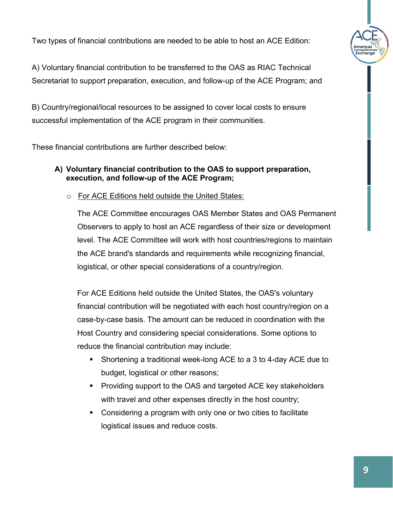Two types of financial contributions are needed to be able to host an ACE Edition:



A) Voluntary financial contribution to be transferred to the OAS as RIAC Technical Secretariat to support preparation, execution, and follow-up of the ACE Program; and

B) Country/regional/local resources to be assigned to cover local costs to ensure successful implementation of the ACE program in their communities.

These financial contributions are further described below:

#### **A) Voluntary financial contribution to the OAS to support preparation, execution, and follow-up of the ACE Program;**

o For ACE Editions held outside the United States:

The ACE Committee encourages OAS Member States and OAS Permanent Observers to apply to host an ACE regardless of their size or development level. The ACE Committee will work with host countries/regions to maintain the ACE brand's standards and requirements while recognizing financial, logistical, or other special considerations of a country/region.

For ACE Editions held outside the United States, the OAS's voluntary financial contribution will be negotiated with each host country/region on a case-by-case basis. The amount can be reduced in coordination with the Host Country and considering special considerations. Some options to reduce the financial contribution may include:

- Shortening a traditional week-long ACE to a 3 to 4-day ACE due to budget, logistical or other reasons;
- **Providing support to the OAS and targeted ACE key stakeholders** with travel and other expenses directly in the host country;
- Considering a program with only one or two cities to facilitate logistical issues and reduce costs.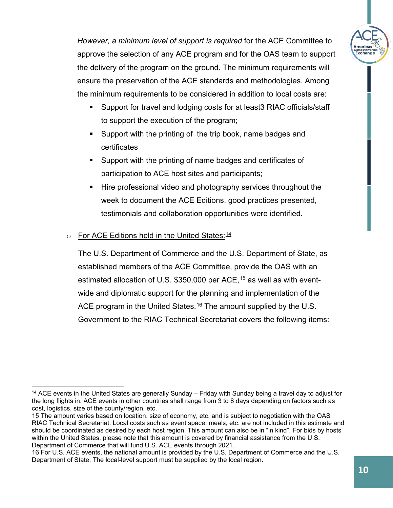*However, a minimum level of support is required* for the ACE Committee to approve the selection of any ACE program and for the OAS team to support the delivery of the program on the ground. The minimum requirements will ensure the preservation of the ACE standards and methodologies. Among the minimum requirements to be considered in addition to local costs are:

- Support for travel and lodging costs for at least3 RIAC officials/staff to support the execution of the program;
- Support with the printing of the trip book, name badges and certificates
- Support with the printing of name badges and certificates of participation to ACE host sites and participants;
- **Hire professional video and photography services throughout the** week to document the ACE Editions, good practices presented, testimonials and collaboration opportunities were identified.

#### o For ACE Editions held in the United States:<sup>[14](#page-9-0)</sup>

The U.S. Department of Commerce and the U.S. Department of State, as established members of the ACE Committee, provide the OAS with an estimated allocation of U.S. \$350,000 per ACE, [15](#page-9-1) as well as with eventwide and diplomatic support for the planning and implementation of the ACE program in the United States. $^{16}$  $^{16}$  $^{16}$  The amount supplied by the U.S. Government to the RIAC Technical Secretariat covers the following items: xchang

<span id="page-9-0"></span><sup>&</sup>lt;sup>14</sup> ACE events in the United States are generally Sunday – Friday with Sunday being a travel day to adjust for the long flights in. ACE events in other countries shall range from 3 to 8 days depending on factors such as cost, logistics, size of the county/region, etc.

<span id="page-9-1"></span><sup>15</sup> The amount varies based on location, size of economy, etc. and is subject to negotiation with the OAS RIAC Technical Secretariat. Local costs such as event space, meals, etc. are not included in this estimate and should be coordinated as desired by each host region. This amount can also be in "in kind". For bids by hosts within the United States, please note that this amount is covered by financial assistance from the U.S. Department of Commerce that will fund U.S. ACE events through 2021.

<span id="page-9-2"></span><sup>16</sup> For U.S. ACE events, the national amount is provided by the U.S. Department of Commerce and the U.S. Department of State. The local-level support must be supplied by the local region.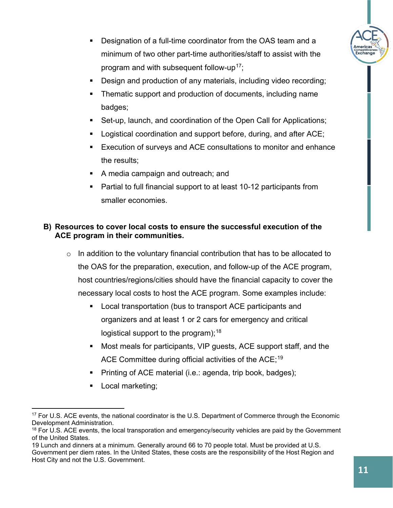

- Designation of a full-time coordinator from the OAS team and a minimum of two other part-time authorities/staff to assist with the program and with subsequent follow-up<sup>[17](#page-10-0)</sup>:
- Design and production of any materials, including video recording;
- Thematic support and production of documents, including name badges;
- Set-up, launch, and coordination of the Open Call for Applications;
- **Logistical coordination and support before, during, and after ACE;**
- Execution of surveys and ACE consultations to monitor and enhance the results;
- A media campaign and outreach; and
- **Partial to full financial support to at least 10-12 participants from** smaller economies.

#### **B) Resources to cover local costs to ensure the successful execution of the ACE program in their communities.**

- $\circ$  In addition to the voluntary financial contribution that has to be allocated to the OAS for the preparation, execution, and follow-up of the ACE program, host countries/regions/cities should have the financial capacity to cover the necessary local costs to host the ACE program. Some examples include:
	- **EXEC** Local transportation (bus to transport ACE participants and organizers and at least 1 or 2 cars for emergency and critical logistical support to the program);  $18$
	- Most meals for participants, VIP guests, ACE support staff, and the ACE Committee during official activities of the ACE; $^{\rm 19}$  $^{\rm 19}$  $^{\rm 19}$
	- Printing of ACE material (i.e.: agenda, trip book, badges);
	- **Local marketing;**

<span id="page-10-0"></span><sup>&</sup>lt;sup>17</sup> For U.S. ACE events, the national coordinator is the U.S. Department of Commerce through the Economic Development Administration.

<span id="page-10-1"></span> $18$  For U.S. ACE events, the local transporation and emergency/security vehicles are paid by the Government of the United States.

<span id="page-10-2"></span><sup>19</sup> Lunch and dinners at a minimum. Generally around 66 to 70 people total. Must be provided at U.S. Government per diem rates. In the United States, these costs are the responsibility of the Host Region and Host City and not the U.S. Government.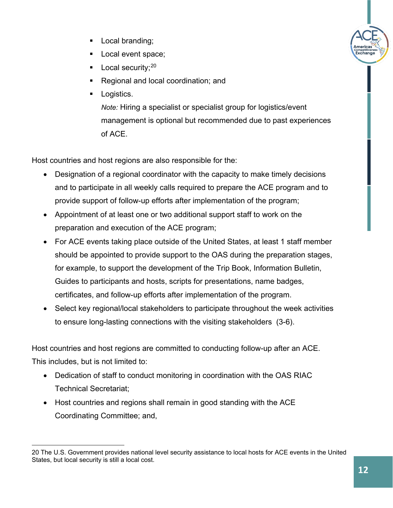- **Local branding;**
- **Local event space;**
- Local security;<sup>[20](#page-11-0)</sup>
- Regional and local coordination; and
- **Logistics.**

*Note:* Hiring a specialist or specialist group for logistics/event management is optional but recommended due to past experiences of ACE.

Host countries and host regions are also responsible for the:

- Designation of a regional coordinator with the capacity to make timely decisions and to participate in all weekly calls required to prepare the ACE program and to provide support of follow-up efforts after implementation of the program;
- Appointment of at least one or two additional support staff to work on the preparation and execution of the ACE program;
- For ACE events taking place outside of the United States, at least 1 staff member should be appointed to provide support to the OAS during the preparation stages, for example, to support the development of the Trip Book, Information Bulletin, Guides to participants and hosts, scripts for presentations, name badges, certificates, and follow-up efforts after implementation of the program.
- Select key regional/local stakeholders to participate throughout the week activities to ensure long-lasting connections with the visiting stakeholders (3-6).

Host countries and host regions are committed to conducting follow-up after an ACE. This includes, but is not limited to:

- Dedication of staff to conduct monitoring in coordination with the OAS RIAC Technical Secretariat;
- Host countries and regions shall remain in good standing with the ACE Coordinating Committee; and,

<span id="page-11-0"></span><sup>20</sup> The U.S. Government provides national level security assistance to local hosts for ACE events in the United States, but local security is still a local cost.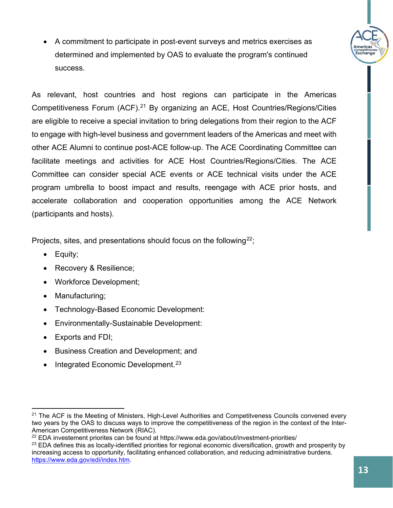• A commitment to participate in post-event surveys and metrics exercises as determined and implemented by OAS to evaluate the program's continued success.

As relevant, host countries and host regions can participate in the Americas Competitiveness Forum (ACF).<sup>[21](#page-12-0)</sup> By organizing an ACE, Host Countries/Regions/Cities are eligible to receive a special invitation to bring delegations from their region to the ACF to engage with high-level business and government leaders of the Americas and meet with other ACE Alumni to continue post-ACE follow-up. The ACE Coordinating Committee can facilitate meetings and activities for ACE Host Countries/Regions/Cities. The ACE Committee can consider special ACE events or ACE technical visits under the ACE program umbrella to boost impact and results, reengage with ACE prior hosts, and accelerate collaboration and cooperation opportunities among the ACE Network (participants and hosts).

Projects, sites, and presentations should focus on the following<sup>[22](#page-12-1)</sup>;

- Equity;
- Recovery & Resilience;
- Workforce Development;
- Manufacturing;
- Technology-Based Economic Development:
- Environmentally-Sustainable Development:
- Exports and FDI;
- Business Creation and Development; and
- Integrated Economic Development.<sup>[23](#page-12-2)</sup>

ompennven<br>Exchang

<span id="page-12-0"></span><sup>&</sup>lt;sup>21</sup> The ACF is the Meeting of Ministers, High-Level Authorities and Competitveness Councils convened every two years by the OAS to discuss ways to improve the competitiveness of the region in the context of the Inter-American Competitiveness Network (RIAC).

<span id="page-12-1"></span><sup>&</sup>lt;sup>22</sup> EDA investement priorites can be found at https://www.eda.gov/about/investment-priorities/

<span id="page-12-2"></span><sup>&</sup>lt;sup>23</sup> EDA defines this as locally-identified priorities for regional economic diversification, growth and prosperity by increasing access to opportunity, facilitating enhanced collaboration, and reducing administrative burdens. [https://www.eda.gov/edi/index.htm.](https://www.eda.gov/edi/index.htm)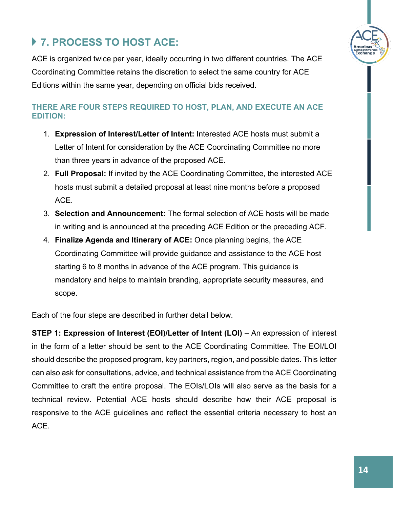

# **7. PROCESS TO HOST ACE:**

ACE is organized twice per year, ideally occurring in two different countries. The ACE Coordinating Committee retains the discretion to select the same country for ACE Editions within the same year, depending on official bids received.

#### **THERE ARE FOUR STEPS REQUIRED TO HOST, PLAN, AND EXECUTE AN ACE EDITION:**

- 1. **Expression of Interest/Letter of Intent:** Interested ACE hosts must submit a Letter of Intent for consideration by the ACE Coordinating Committee no more than three years in advance of the proposed ACE.
- 2. **Full Proposal:** If invited by the ACE Coordinating Committee, the interested ACE hosts must submit a detailed proposal at least nine months before a proposed ACE.
- 3. **Selection and Announcement:** The formal selection of ACE hosts will be made in writing and is announced at the preceding ACE Edition or the preceding ACF.
- 4. **Finalize Agenda and Itinerary of ACE:** Once planning begins, the ACE Coordinating Committee will provide guidance and assistance to the ACE host starting 6 to 8 months in advance of the ACE program. This guidance is mandatory and helps to maintain branding, appropriate security measures, and scope.

Each of the four steps are described in further detail below.

**STEP 1: Expression of Interest (EOI)/Letter of Intent (LOI)** – An expression of interest in the form of a letter should be sent to the ACE Coordinating Committee. The EOI/LOI should describe the proposed program, key partners, region, and possible dates. This letter can also ask for consultations, advice, and technical assistance from the ACE Coordinating Committee to craft the entire proposal. The EOIs/LOIs will also serve as the basis for a technical review. Potential ACE hosts should describe how their ACE proposal is responsive to the ACE guidelines and reflect the essential criteria necessary to host an ACE.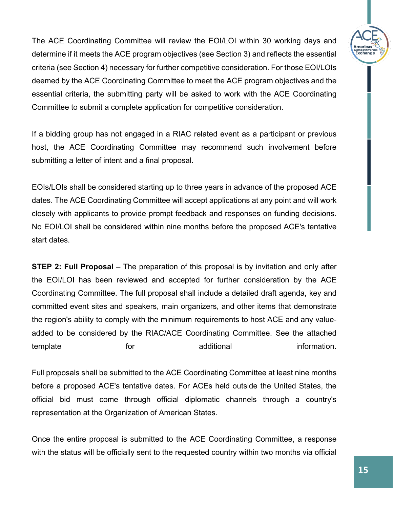The ACE Coordinating Committee will review the EOI/LOI within 30 working days and determine if it meets the ACE program objectives (see Section 3) and reflects the essential criteria (see Section 4) necessary for further competitive consideration. For those EOI/LOIs deemed by the ACE Coordinating Committee to meet the ACE program objectives and the essential criteria, the submitting party will be asked to work with the ACE Coordinating Committee to submit a complete application for competitive consideration.

If a bidding group has not engaged in a RIAC related event as a participant or previous host, the ACE Coordinating Committee may recommend such involvement before submitting a letter of intent and a final proposal.

EOIs/LOIs shall be considered starting up to three years in advance of the proposed ACE dates. The ACE Coordinating Committee will accept applications at any point and will work closely with applicants to provide prompt feedback and responses on funding decisions. No EOI/LOI shall be considered within nine months before the proposed ACE's tentative start dates.

**STEP 2: Full Proposal** – The preparation of this proposal is by invitation and only after the EOI/LOI has been reviewed and accepted for further consideration by the ACE Coordinating Committee. The full proposal shall include a detailed draft agenda, key and committed event sites and speakers, main organizers, and other items that demonstrate the region's ability to comply with the minimum requirements to host ACE and any valueadded to be considered by the RIAC/ACE Coordinating Committee. See the attached template for the additional information.

Full proposals shall be submitted to the ACE Coordinating Committee at least nine months before a proposed ACE's tentative dates. For ACEs held outside the United States, the official bid must come through official diplomatic channels through a country's representation at the Organization of American States.

Once the entire proposal is submitted to the ACE Coordinating Committee, a response with the status will be officially sent to the requested country within two months via official

<sub>эmренн</sub>үе<br>:xchano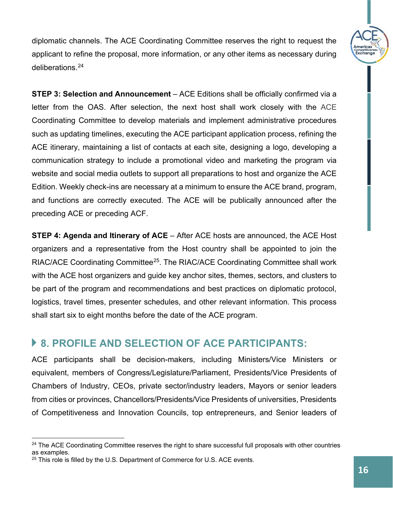diplomatic channels. The ACE Coordinating Committee reserves the right to request the applicant to refine the proposal, more information, or any other items as necessary during deliberations.[24](#page-15-0)

**STEP 3: Selection and Announcement** – ACE Editions shall be officially confirmed via a letter from the OAS. After selection, the next host shall work closely with the ACE Coordinating Committee to develop materials and implement administrative procedures such as updating timelines, executing the ACE participant application process, refining the ACE itinerary, maintaining a list of contacts at each site, designing a logo, developing a communication strategy to include a promotional video and marketing the program via website and social media outlets to support all preparations to host and organize the ACE Edition. Weekly check-ins are necessary at a minimum to ensure the ACE brand, program, and functions are correctly executed. The ACE will be publically announced after the preceding ACE or preceding ACF.

**STEP 4: Agenda and Itinerary of ACE** – After ACE hosts are announced, the ACE Host organizers and a representative from the Host country shall be appointed to join the RIAC/ACE Coordinating Committee[25](#page-15-1). The RIAC/ACE Coordinating Committee shall work with the ACE host organizers and guide key anchor sites, themes, sectors, and clusters to be part of the program and recommendations and best practices on diplomatic protocol, logistics, travel times, presenter schedules, and other relevant information. This process shall start six to eight months before the date of the ACE program.

### **8. PROFILE AND SELECTION OF ACE PARTICIPANTS:**

ACE participants shall be decision-makers, including Ministers/Vice Ministers or equivalent, members of Congress/Legislature/Parliament, Presidents/Vice Presidents of Chambers of Industry, CEOs, private sector/industry leaders, Mayors or senior leaders from cities or provinces, Chancellors/Presidents/Vice Presidents of universities, Presidents of Competitiveness and Innovation Councils, top entrepreneurs, and Senior leaders of ompennven<br>Exchang

<span id="page-15-0"></span><sup>&</sup>lt;sup>24</sup> The ACE Coordinating Committee reserves the right to share successful full proposals with other countries as examples.

<span id="page-15-1"></span> $25$  This role is filled by the U.S. Department of Commerce for U.S. ACE events.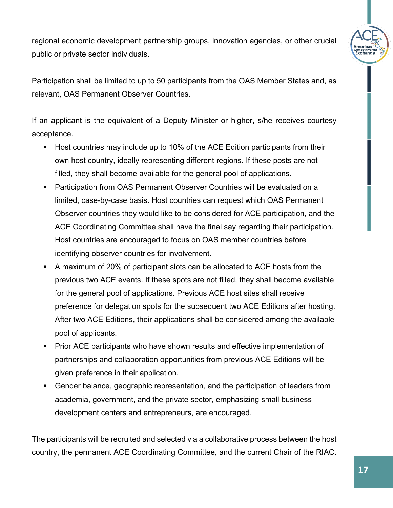

regional economic development partnership groups, innovation agencies, or other crucial public or private sector individuals.

Participation shall be limited to up to 50 participants from the OAS Member States and, as relevant, OAS Permanent Observer Countries.

If an applicant is the equivalent of a Deputy Minister or higher, s/he receives courtesy acceptance.

- Host countries may include up to 10% of the ACE Edition participants from their own host country, ideally representing different regions. If these posts are not filled, they shall become available for the general pool of applications.
- **Participation from OAS Permanent Observer Countries will be evaluated on a** limited, case-by-case basis. Host countries can request which OAS Permanent Observer countries they would like to be considered for ACE participation, and the ACE Coordinating Committee shall have the final say regarding their participation. Host countries are encouraged to focus on OAS member countries before identifying observer countries for involvement.
- A maximum of 20% of participant slots can be allocated to ACE hosts from the previous two ACE events. If these spots are not filled, they shall become available for the general pool of applications. Previous ACE host sites shall receive preference for delegation spots for the subsequent two ACE Editions after hosting. After two ACE Editions, their applications shall be considered among the available pool of applicants.
- **Prior ACE participants who have shown results and effective implementation of** partnerships and collaboration opportunities from previous ACE Editions will be given preference in their application.
- Gender balance, geographic representation, and the participation of leaders from academia, government, and the private sector, emphasizing small business development centers and entrepreneurs, are encouraged.

The participants will be recruited and selected via a collaborative process between the host country, the permanent ACE Coordinating Committee, and the current Chair of the RIAC.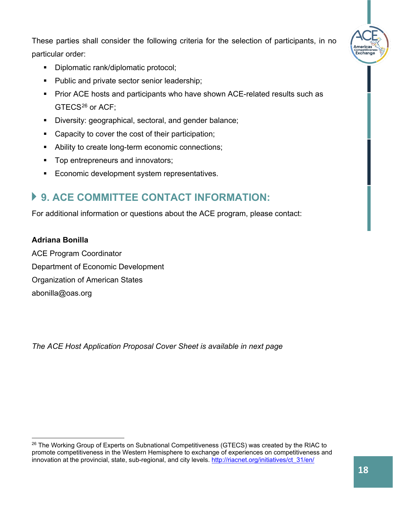These parties shall consider the following criteria for the selection of participants, in no particular order:

- Diplomatic rank/diplomatic protocol;
- Public and private sector senior leadership;
- **Prior ACE hosts and participants who have shown ACE-related results such as** GTECS<sup>[26](#page-17-0)</sup> or ACF;
- Diversity: geographical, sectoral, and gender balance;
- Capacity to cover the cost of their participation;
- Ability to create long-term economic connections;
- **Top entrepreneurs and innovators;**
- **Example 3** Economic development system representatives.

# **9. ACE COMMITTEE CONTACT INFORMATION:**

For additional information or questions about the ACE program, please contact:

#### **Adriana Bonilla**

ACE Program Coordinator Department of Economic Development Organization of American States [abonilla@oas.org](mailto:abonilla@oas.org) 

*The ACE Host Application Proposal Cover Sheet is available in next page*

ompennve<br>Exchanc

<span id="page-17-0"></span><sup>&</sup>lt;sup>26</sup> The Working Group of Experts on Subnational Competitiveness (GTECS) was created by the RIAC to promote competitiveness in the Western Hemisphere to exchange of experiences on competitiveness and innovation at the provincial, state, sub-regional, and city levels. [http://riacnet.org/initiatives/ct\\_31/en/](http://riacnet.org/initiatives/ct_31/en/)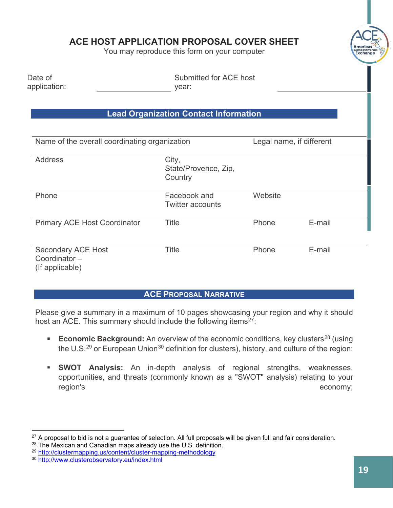#### **ACE HOST APPLICATION PROPOSAL COVER SHEET**

You may reproduce this form on your computer

| Date of<br>application:                       | Submitted for ACE host<br>year:              |         |                          |  |
|-----------------------------------------------|----------------------------------------------|---------|--------------------------|--|
|                                               | <b>Lead Organization Contact Information</b> |         |                          |  |
| Name of the overall coordinating organization |                                              |         | Legal name, if different |  |
| <b>Address</b>                                | City,<br>State/Provence, Zip,<br>Country     |         |                          |  |
| Phone                                         | Facebook and<br><b>Twitter accounts</b>      | Website |                          |  |
| <b>Primary ACE Host Coordinator</b>           | <b>Title</b>                                 | Phone   | E-mail                   |  |
| <b>Secondary ACE Host</b><br>Coordinator-     | Title                                        | Phone   | E-mail                   |  |

(If applicable)

#### **ACE PROPOSAL NARRATIVE**

Please give a summary in a maximum of 10 pages showcasing your region and why it should host an ACE. This summary should include the following items $27$ :

- **Economic Background:** An overview of the economic conditions, key clusters<sup>[28](#page-18-1)</sup> (using the U.S. $^{29}$  $^{29}$  $^{29}$  or European Union $^{30}$  $^{30}$  $^{30}$  definition for clusters), history, and culture of the region;
- **SWOT Analysis:** An in-depth analysis of regional strengths, weaknesses, opportunities, and threats (commonly known as a "SWOT" analysis) relating to your region's economy;

<span id="page-18-0"></span> $27$  A proposal to bid is not a guarantee of selection. All full proposals will be given full and fair consideration.

<span id="page-18-1"></span> $28$  The Mexican and Canadian maps already use the U.S. definition.

<span id="page-18-2"></span><sup>29</sup> <http://clustermapping.us/content/cluster-mapping-methodology>

<span id="page-18-3"></span><sup>30</sup> <http://www.clusterobservatory.eu/index.html>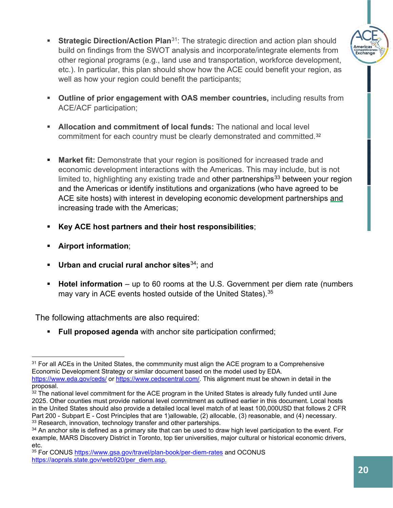

- **Strategic Direction/Action Plan**<sup>[31](#page-19-0)</sup>: The strategic direction and action plan should build on findings from the SWOT analysis and incorporate/integrate elements from other regional programs (e.g., land use and transportation, workforce development, etc.). In particular, this plan should show how the ACE could benefit your region, as well as how your region could benefit the participants;
- **Outline of prior engagement with OAS member countries,** including results from ACE/ACF participation;
- **Allocation and commitment of local funds:** The national and local level commitment for each country must be clearly demonstrated and committed.[32](#page-19-1)
- **Market fit:** Demonstrate that your region is positioned for increased trade and economic development interactions with the Americas. This may include, but is not limited to, highlighting any existing trade and other partnerships<sup>[33](#page-19-2)</sup> between your region and the Americas or identify institutions and organizations (who have agreed to be ACE site hosts) with interest in developing economic development partnerships and increasing trade with the Americas;
- **Key ACE host partners and their host responsibilities**;
- **Airport information**;
- **Urban and crucial rural anchor sites**[34;](#page-19-3) and
- **Hotel information** up to 60 rooms at the U.S. Government per diem rate (numbers may vary in ACE events hosted outside of the United States). $^{\rm 35}$  $^{\rm 35}$  $^{\rm 35}$

The following attachments are also required:

**Full proposed agenda** with anchor site participation confirmed;

<span id="page-19-1"></span> $32$  The national level commitment for the ACE program in the United States is already fully funded until June 2025. Other counties must provide national level commitment as outlined earlier in this document. Local hosts in the United States should also provide a detailed local level match of at least 100,000USD that follows 2 CFR Part 200 - Subpart E - Cost Principles that are 1)allowable, (2) allocable, (3) reasonable, and (4) necessary. <sup>33</sup> Research, innovation, technology transfer and other parterships.

<span id="page-19-0"></span> $31$  For all ACEs in the United States, the commmunity must align the ACE program to a Comprehensive Economic Development Strategy or similar document based on the model used by EDA. <https://www.eda.gov/ceds/> or [https://www.cedscentral.com/.](https://www.cedscentral.com/) This alignment must be shown in detail in the proposal.

<span id="page-19-3"></span><span id="page-19-2"></span><sup>&</sup>lt;sup>34</sup> An anchor site is defined as a primary site that can be used to draw high level participation to the event. For example, MARS Discovery District in Toronto, top tier universities, major cultural or historical economic drivers, etc.

<span id="page-19-4"></span><sup>35</sup> For CONUS <https://www.gsa.gov/travel/plan-book/per-diem-rates> and OCONUS [https://aoprals.state.gov/web920/per\\_diem.asp.](https://aoprals.state.gov/web920/per_diem.asp)